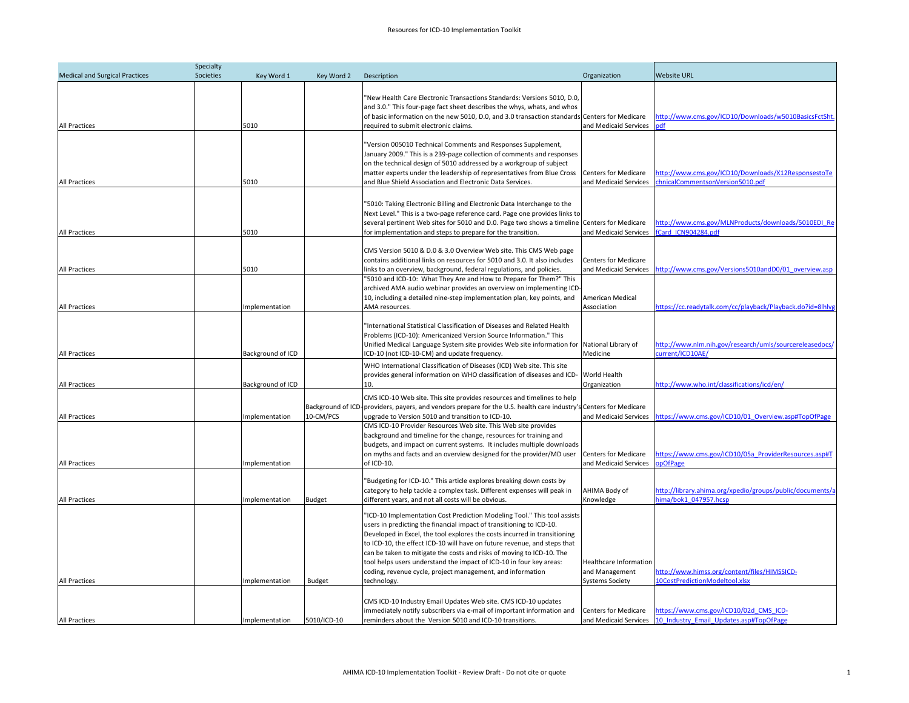| <b>Medical and Surgical Practices</b> | Societies | Key Word 1        | Key Word 2        | Description                                                                                                                               | Organization                | <b>Website URL</b>                                                                 |
|---------------------------------------|-----------|-------------------|-------------------|-------------------------------------------------------------------------------------------------------------------------------------------|-----------------------------|------------------------------------------------------------------------------------|
|                                       |           |                   |                   |                                                                                                                                           |                             |                                                                                    |
|                                       |           |                   |                   | "New Health Care Electronic Transactions Standards: Versions 5010, D.0,                                                                   |                             |                                                                                    |
|                                       |           |                   |                   | and 3.0." This four-page fact sheet describes the whys, whats, and whos                                                                   |                             |                                                                                    |
|                                       |           |                   |                   | of basic information on the new 5010, D.0, and 3.0 transaction standards Centers for Medicare                                             |                             | http://www.cms.gov/ICD10/Downloads/w5010BasicsFctSht.                              |
| All Practices                         |           | 5010              |                   | equired to submit electronic claims.                                                                                                      | and Medicaid Services       | odf                                                                                |
|                                       |           |                   |                   | 'Version 005010 Technical Comments and Responses Supplement,                                                                              |                             |                                                                                    |
|                                       |           |                   |                   | January 2009." This is a 239-page collection of comments and responses                                                                    |                             |                                                                                    |
|                                       |           |                   |                   | on the technical design of 5010 addressed by a workgroup of subject                                                                       |                             |                                                                                    |
|                                       |           |                   |                   | matter experts under the leadership of representatives from Blue Cross                                                                    | <b>Centers for Medicare</b> | http://www.cms.gov/ICD10/Downloads/X12ResponsestoTe                                |
| All Practices                         |           | 5010              |                   | and Blue Shield Association and Electronic Data Services.                                                                                 | and Medicaid Services       | chnicalCommentsonVersion5010.pdf                                                   |
|                                       |           |                   |                   |                                                                                                                                           |                             |                                                                                    |
|                                       |           |                   |                   |                                                                                                                                           |                             |                                                                                    |
|                                       |           |                   |                   | '5010: Taking Electronic Billing and Electronic Data Interchange to the                                                                   |                             |                                                                                    |
|                                       |           |                   |                   | Next Level." This is a two-page reference card. Page one provides links to                                                                |                             |                                                                                    |
|                                       |           |                   |                   | several pertinent Web sites for 5010 and D.O. Page two shows a timeline Centers for Medicare                                              |                             | http://www.cms.gov/MLNProducts/downloads/5010EDI Re                                |
| All Practices                         |           | 5010              |                   | for implementation and steps to prepare for the transition.                                                                               | and Medicaid Services       | fCard ICN904284.pdf                                                                |
|                                       |           |                   |                   |                                                                                                                                           |                             |                                                                                    |
|                                       |           |                   |                   | CMS Version 5010 & D.0 & 3.0 Overview Web site. This CMS Web page                                                                         |                             |                                                                                    |
|                                       |           |                   |                   | contains additional links on resources for 5010 and 3.0. It also includes                                                                 | <b>Centers for Medicare</b> |                                                                                    |
| All Practices                         |           | 5010              |                   | links to an overview, background, federal regulations, and policies.                                                                      |                             | and Medicaid Services http://www.cms.gov/Versions5010andD0/01 overview.asp         |
|                                       |           |                   |                   | '5010 and ICD-10: What They Are and How to Prepare for Them?" This<br>archived AMA audio webinar provides an overview on implementing ICD |                             |                                                                                    |
|                                       |           |                   |                   | 10, including a detailed nine-step implementation plan, key points, and                                                                   | American Medical            |                                                                                    |
| All Practices                         |           | Implementation    |                   | AMA resources.                                                                                                                            | Association                 | https://cc.readytalk.com/cc/playback/Playback.do?id=8lhlvg                         |
|                                       |           |                   |                   |                                                                                                                                           |                             |                                                                                    |
|                                       |           |                   |                   | 'International Statistical Classification of Diseases and Related Health                                                                  |                             |                                                                                    |
|                                       |           |                   |                   | Problems (ICD-10): Americanized Version Source Information." This                                                                         |                             |                                                                                    |
|                                       |           |                   |                   | Unified Medical Language System site provides Web site information for                                                                    | National Library of         | http://www.nlm.nih.gov/research/umls/sourcereleasedocs/                            |
| <b>All Practices</b>                  |           | Background of ICD |                   | CD-10 (not ICD-10-CM) and update frequency.                                                                                               | Medicine                    | current/ICD10AE/                                                                   |
|                                       |           |                   |                   | WHO International Classification of Diseases (ICD) Web site. This site                                                                    |                             |                                                                                    |
|                                       |           |                   |                   | provides general information on WHO classification of diseases and ICD-                                                                   | World Health                |                                                                                    |
| <b>All Practices</b>                  |           | Background of ICD |                   | 10.                                                                                                                                       | Organization                | http://www.who.int/classifications/icd/en/                                         |
|                                       |           |                   |                   |                                                                                                                                           |                             |                                                                                    |
|                                       |           |                   |                   | CMS ICD-10 Web site. This site provides resources and timelines to help                                                                   |                             |                                                                                    |
|                                       |           |                   | Background of ICD | providers, payers, and vendors prepare for the U.S. health care industry's Centers for Medicare                                           |                             |                                                                                    |
| <b>All Practices</b>                  |           | Implementation    | 10-CM/PCS         | upgrade to Version 5010 and transition to ICD-10.                                                                                         | and Medicaid Services       | https://www.cms.gov/ICD10/01 Overview.asp#TopOfPage                                |
|                                       |           |                   |                   | CMS ICD-10 Provider Resources Web site. This Web site provides                                                                            |                             |                                                                                    |
|                                       |           |                   |                   | background and timeline for the change, resources for training and                                                                        |                             |                                                                                    |
|                                       |           |                   |                   | budgets, and impact on current systems. It includes multiple downloads                                                                    |                             |                                                                                    |
|                                       |           |                   |                   | on myths and facts and an overview designed for the provider/MD user                                                                      | Centers for Medicare        | https://www.cms.gov/ICD10/05a ProviderResources.asp#T                              |
| All Practices                         |           | Implementation    |                   | of ICD-10.                                                                                                                                | and Medicaid Services       | pOfPage                                                                            |
|                                       |           |                   |                   |                                                                                                                                           |                             |                                                                                    |
|                                       |           |                   |                   | "Budgeting for ICD-10." This article explores breaking down costs by                                                                      |                             |                                                                                    |
|                                       |           |                   |                   | category to help tackle a complex task. Different expenses will peak in                                                                   | AHIMA Body of               | http://library.ahima.org/xpedio/groups/public/documents/a<br>hima/bok1_047957.hcsp |
| All Practices                         |           | Implementation    | <b>Budget</b>     | different years, and not all costs will be obvious.                                                                                       | Knowledge                   |                                                                                    |
|                                       |           |                   |                   | 'ICD-10 Implementation Cost Prediction Modeling Tool." This tool assists                                                                  |                             |                                                                                    |
|                                       |           |                   |                   | users in predicting the financial impact of transitioning to ICD-10.                                                                      |                             |                                                                                    |
|                                       |           |                   |                   | Developed in Excel, the tool explores the costs incurred in transitioning                                                                 |                             |                                                                                    |
|                                       |           |                   |                   | to ICD-10, the effect ICD-10 will have on future revenue, and steps that                                                                  |                             |                                                                                    |
|                                       |           |                   |                   | can be taken to mitigate the costs and risks of moving to ICD-10. The                                                                     |                             |                                                                                    |
|                                       |           |                   |                   | tool helps users understand the impact of ICD-10 in four key areas:                                                                       | Healthcare Information      |                                                                                    |
|                                       |           |                   |                   | coding, revenue cycle, project management, and information                                                                                | and Management              | http://www.himss.org/content/files/HIMSSICD-                                       |
| All Practices                         |           | mplementation     | <b>Budget</b>     | echnology.                                                                                                                                | <b>Systems Society</b>      | 10CostPredictionModeltool.xlsx                                                     |
|                                       |           |                   |                   |                                                                                                                                           |                             |                                                                                    |
|                                       |           |                   |                   | CMS ICD-10 Industry Email Updates Web site. CMS ICD-10 updates                                                                            |                             |                                                                                    |
|                                       |           |                   |                   | immediately notify subscribers via e-mail of important information and                                                                    | <b>Centers for Medicare</b> | https://www.cms.gov/ICD10/02d CMS ICD-                                             |
| <b>All Practices</b>                  |           | Implementation    | 5010/ICD-10       | reminders about the Version 5010 and ICD-10 transitions.                                                                                  |                             | and Medicaid Services 10 Industry Email Updates.asp#TopOfPage                      |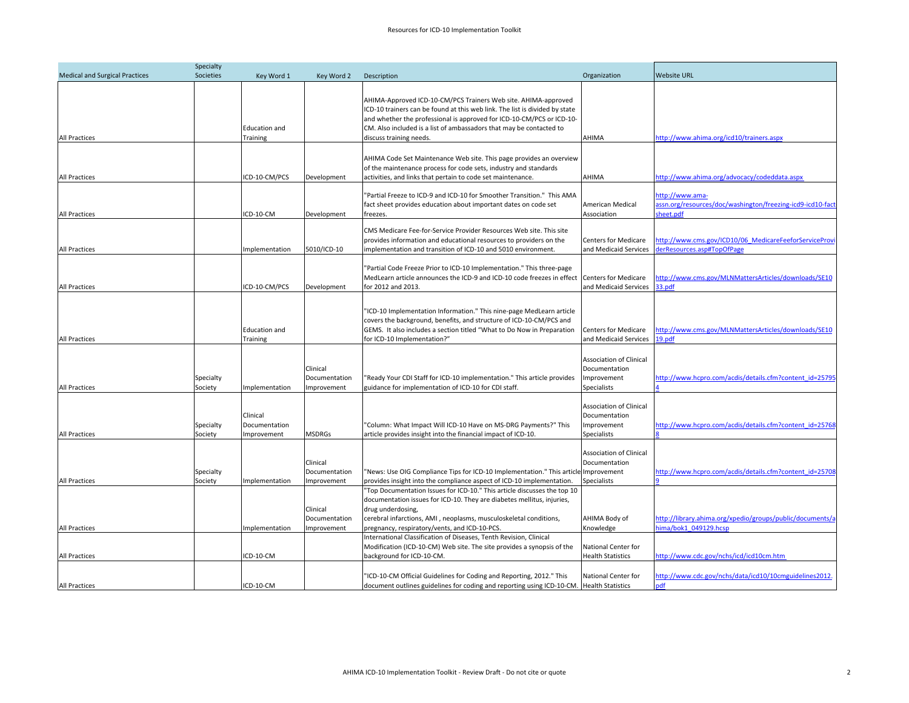| Specialty                             |                      |                                         |                                          |                                                                                                                                                                                                                                                                                                                          |                                                                               |                                                                                             |
|---------------------------------------|----------------------|-----------------------------------------|------------------------------------------|--------------------------------------------------------------------------------------------------------------------------------------------------------------------------------------------------------------------------------------------------------------------------------------------------------------------------|-------------------------------------------------------------------------------|---------------------------------------------------------------------------------------------|
| <b>Medical and Surgical Practices</b> | Societies            | Key Word 1                              | Key Word 2                               | Description                                                                                                                                                                                                                                                                                                              | Organization                                                                  | <b>Website URL</b>                                                                          |
| All Practices                         |                      | <b>Education and</b><br><b>Training</b> |                                          | AHIMA-Approved ICD-10-CM/PCS Trainers Web site. AHIMA-approved<br>ICD-10 trainers can be found at this web link. The list is divided by state<br>and whether the professional is approved for ICD-10-CM/PCS or ICD-10-<br>CM. Also included is a list of ambassadors that may be contacted to<br>discuss training needs. | AHIMA                                                                         | nttp://www.ahima.org/icd10/trainers.aspx                                                    |
|                                       |                      |                                         |                                          |                                                                                                                                                                                                                                                                                                                          |                                                                               |                                                                                             |
| All Practices                         |                      | ICD-10-CM/PCS                           | Development                              | AHIMA Code Set Maintenance Web site. This page provides an overview<br>of the maintenance process for code sets, industry and standards<br>activities, and links that pertain to code set maintenance.                                                                                                                   | AHIMA                                                                         | ttp://www.ahima.org/advocacy/codeddata.aspx                                                 |
| All Practices                         |                      | ICD-10-CM                               | Development                              | "Partial Freeze to ICD-9 and ICD-10 for Smoother Transition." This AMA<br>fact sheet provides education about important dates on code set<br>freezes.                                                                                                                                                                    | American Medical<br>Association                                               | http://www.ama-<br>assn.org/resources/doc/washington/freezing-icd9-icd10-fact-<br>sheet.pdf |
| All Practices                         |                      | Implementation                          | 5010/ICD-10                              | CMS Medicare Fee-for-Service Provider Resources Web site. This site<br>provides information and educational resources to providers on the<br>implementation and transition of ICD-10 and 5010 environment.                                                                                                               | <b>Centers for Medicare</b><br>and Medicaid Services                          | http://www.cms.gov/ICD10/06 MedicareFeeforServiceProvi<br>derResources.asp#TopOfPage        |
| All Practices                         |                      | CD-10-CM/PCS                            | Development                              | "Partial Code Freeze Prior to ICD-10 Implementation." This three-page<br>MedLearn article announces the ICD-9 and ICD-10 code freezes in effect<br>for 2012 and 2013.                                                                                                                                                    | <b>Centers for Medicare</b><br>and Medicaid Services                          | http://www.cms.gov/MLNMattersArticles/downloads/SE10<br>33.pdf                              |
| <b>All Practices</b>                  |                      | <b>Education and</b><br>Training        |                                          | "ICD-10 Implementation Information." This nine-page MedLearn article<br>covers the background, benefits, and structure of ICD-10-CM/PCS and<br>GEMS. It also includes a section titled "What to Do Now in Preparation<br>for ICD-10 Implementation?"                                                                     | <b>Centers for Medicare</b><br>and Medicaid Services                          | http://www.cms.gov/MLNMattersArticles/downloads/SE10<br>9.pdf                               |
| All Practices                         | Specialty<br>Society | Implementation                          | Clinical<br>Documentation<br>Improvement | "Ready Your CDI Staff for ICD-10 implementation." This article provides<br>guidance for implementation of ICD-10 for CDI staff.                                                                                                                                                                                          | <b>Association of Clinical</b><br>Documentation<br>Improvement<br>Specialists | ttp://www.hcpro.com/acdis/details.cfm?content_id=25795                                      |
| <b>All Practices</b>                  | Specialty<br>Society | Clinical<br>Documentation<br>mprovement | <b>MSDRGs</b>                            | "Column: What Impact Will ICD-10 Have on MS-DRG Payments?" This<br>article provides insight into the financial impact of ICD-10.                                                                                                                                                                                         | Association of Clinical<br>Documentation<br>Improvement<br><b>Specialists</b> | http://www.hcpro.com/acdis/details.cfm?content_id=25768                                     |
| All Practices                         | Specialty<br>Society | Implementation                          | Clinical<br>Documentation<br>Improvement | "News: Use OIG Compliance Tips for ICD-10 Implementation." This article Improvement<br>provides insight into the compliance aspect of ICD-10 implementation.                                                                                                                                                             | Association of Clinical<br>Documentation<br><b>Specialists</b>                | http://www.hcpro.com/acdis/details.cfm?content_id=25708                                     |
| All Practices                         |                      | mplementation                           | Clinical<br>Documentation<br>Improvement | Top Documentation Issues for ICD-10." This article discusses the top 10<br>documentation issues for ICD-10. They are diabetes mellitus, injuries,<br>drug underdosing,<br>cerebral infarctions, AMI, neoplasms, musculoskeletal conditions,<br>pregnancy, respiratory/vents, and ICD-10-PCS.                             | AHIMA Body of<br>Knowledge                                                    | http://library.ahima.org/xpedio/groups/public/documents/a<br>nima/bok1 049129.hcsp          |
| All Practices                         |                      | ICD-10-CM                               |                                          | International Classification of Diseases, Tenth Revision, Clinical<br>Modification (ICD-10-CM) Web site. The site provides a synopsis of the<br>background for ICD-10-CM.                                                                                                                                                | National Center for<br><b>Health Statistics</b>                               | http://www.cdc.gov/nchs/icd/icd10cm.htm                                                     |
| <b>All Practices</b>                  |                      | ICD-10-CM                               |                                          | 'ICD-10-CM Official Guidelines for Coding and Reporting, 2012." This<br>document outlines guidelines for coding and reporting using ICD-10-CM.                                                                                                                                                                           | National Center for<br><b>Health Statistics</b>                               | nttp://www.cdc.gov/nchs/data/icd10/10cmguidelines2012.<br>ndf                               |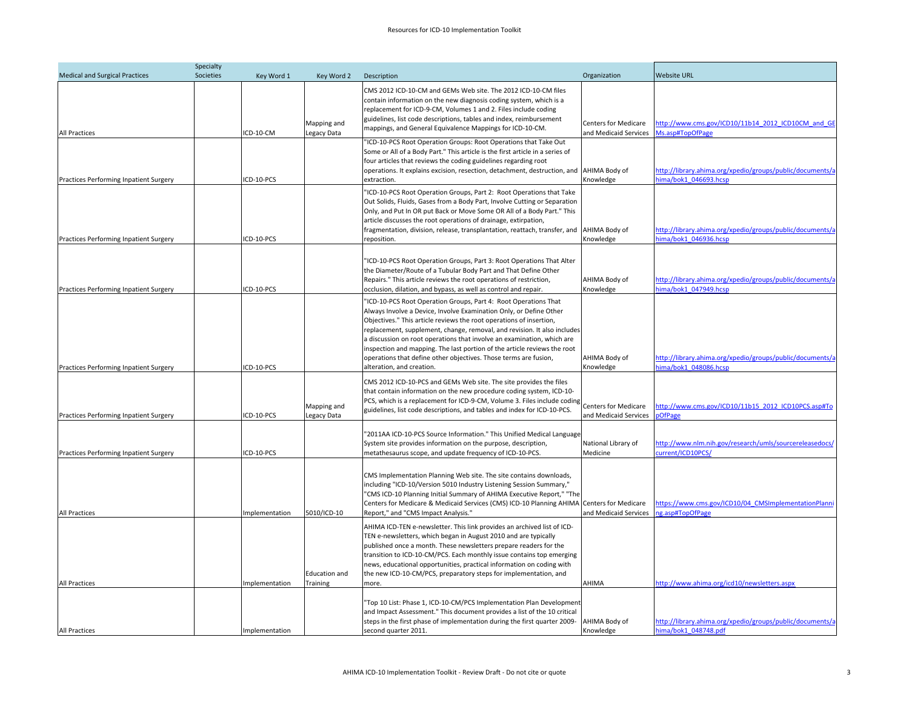|                                        | Specialty |                |                                  |                                                                                                                                                                                                                                                                                                                                                                                                                                                                                                                                                 |                                                      |                                                                                    |
|----------------------------------------|-----------|----------------|----------------------------------|-------------------------------------------------------------------------------------------------------------------------------------------------------------------------------------------------------------------------------------------------------------------------------------------------------------------------------------------------------------------------------------------------------------------------------------------------------------------------------------------------------------------------------------------------|------------------------------------------------------|------------------------------------------------------------------------------------|
| <b>Medical and Surgical Practices</b>  | Societies | Key Word 1     | Key Word 2                       | Description                                                                                                                                                                                                                                                                                                                                                                                                                                                                                                                                     | Organization                                         | <b>Website URL</b>                                                                 |
| <b>All Practices</b>                   |           | ICD-10-CM      | Mapping and<br>Legacy Data       | CMS 2012 ICD-10-CM and GEMs Web site. The 2012 ICD-10-CM files<br>contain information on the new diagnosis coding system, which is a<br>replacement for ICD-9-CM, Volumes 1 and 2. Files include coding<br>guidelines, list code descriptions, tables and index, reimbursement<br>mappings, and General Equivalence Mappings for ICD-10-CM.                                                                                                                                                                                                     | <b>Centers for Medicare</b><br>and Medicaid Services | http://www.cms.gov/ICD10/11b14 2012 ICD10CM and GE<br>Ms.asp#TopOfPage             |
| Practices Performing Inpatient Surgery |           | CD-10-PCS      |                                  | "ICD-10-PCS Root Operation Groups: Root Operations that Take Out<br>Some or All of a Body Part." This article is the first article in a series of<br>four articles that reviews the coding guidelines regarding root<br>operations. It explains excision, resection, detachment, destruction, and AHIMA Body of<br>extraction.                                                                                                                                                                                                                  | Knowledge                                            | http://library.ahima.org/xpedio/groups/public/documents/a<br>nima/bok1_046693.hcsp |
| Practices Performing Inpatient Surgery |           | CD-10-PCS      |                                  | 'ICD-10-PCS Root Operation Groups, Part 2: Root Operations that Take<br>Out Solids, Fluids, Gases from a Body Part, Involve Cutting or Separation<br>Only, and Put In OR put Back or Move Some OR All of a Body Part." This<br>article discusses the root operations of drainage, extirpation,<br>fragmentation, division, release, transplantation, reattach, transfer, and<br>reposition.                                                                                                                                                     | AHIMA Body of<br>Knowledge                           | http://library.ahima.org/xpedio/groups/public/documents/a<br>nima/bok1 046936.hcsp |
| Practices Performing Inpatient Surgery |           | ICD-10-PCS     |                                  | "ICD-10-PCS Root Operation Groups, Part 3: Root Operations That Alter<br>the Diameter/Route of a Tubular Body Part and That Define Other<br>Repairs." This article reviews the root operations of restriction,<br>occlusion, dilation, and bypass, as well as control and repair.                                                                                                                                                                                                                                                               | AHIMA Body of<br>Knowledge                           | http://library.ahima.org/xpedio/groups/public/documents/a<br>ima/bok1_047949.hcsp  |
| Practices Performing Inpatient Surgery |           | CD-10-PCS      |                                  | "ICD-10-PCS Root Operation Groups, Part 4: Root Operations That<br>Always Involve a Device, Involve Examination Only, or Define Other<br>Objectives." This article reviews the root operations of insertion,<br>replacement, supplement, change, removal, and revision. It also includes<br>a discussion on root operations that involve an examination, which are<br>inspection and mapping. The last portion of the article reviews the root<br>operations that define other objectives. Those terms are fusion,<br>alteration, and creation. | AHIMA Body of<br>Knowledge                           | http://library.ahima.org/xpedio/groups/public/documents/a<br>ima/bok1_048086.hcsp  |
| Practices Performing Inpatient Surgery |           | CD-10-PCS      | Mapping and<br>Legacy Data       | CMS 2012 ICD-10-PCS and GEMs Web site. The site provides the files<br>that contain information on the new procedure coding system, ICD-10-<br>PCS, which is a replacement for ICD-9-CM, Volume 3. Files include coding<br>guidelines, list code descriptions, and tables and index for ICD-10-PCS.                                                                                                                                                                                                                                              | <b>Centers for Medicare</b><br>and Medicaid Services | http://www.cms.gov/ICD10/11b15 2012 ICD10PCS.asp#To<br><b>OfPage</b>               |
| Practices Performing Inpatient Surgery |           | CD-10-PCS      |                                  | "2011AA ICD-10-PCS Source Information." This Unified Medical Language<br>System site provides information on the purpose, description,<br>metathesaurus scope, and update frequency of ICD-10-PCS.                                                                                                                                                                                                                                                                                                                                              | National Library of<br>Medicine                      | http://www.nlm.nih.gov/research/umls/sourcereleasedocs/<br>current/ICD10PCS/       |
| All Practices                          |           | mplementation  | 5010/ICD-10                      | CMS Implementation Planning Web site. The site contains downloads,<br>including "ICD-10/Version 5010 Industry Listening Session Summary,"<br>"CMS ICD-10 Planning Initial Summary of AHIMA Executive Report," "The<br>Centers for Medicare & Medicaid Services (CMS) ICD-10 Planning AHIMA Centers for Medicare<br>Report," and "CMS Impact Analysis."                                                                                                                                                                                          | and Medicaid Services                                | https://www.cms.gov/ICD10/04 CMSImplementationPlanni<br>ng.asp#TopOfPage           |
| All Practices                          |           | mplementation  | <b>Education and</b><br>Training | AHIMA ICD-TEN e-newsletter. This link provides an archived list of ICD-<br>TEN e-newsletters, which began in August 2010 and are typically<br>published once a month. These newsletters prepare readers for the<br>transition to ICD-10-CM/PCS. Each monthly issue contains top emerging<br>news, educational opportunities, practical information on coding with<br>the new ICD-10-CM/PCS, preparatory steps for implementation, and<br>more.                                                                                                  | AHIMA                                                | http://www.ahima.org/icd10/newsletters.aspx                                        |
| All Practices                          |           | Implementation |                                  | "Top 10 List: Phase 1, ICD-10-CM/PCS Implementation Plan Development<br>and Impact Assessment." This document provides a list of the 10 critical<br>steps in the first phase of implementation during the first quarter 2009-<br>second quarter 2011.                                                                                                                                                                                                                                                                                           | AHIMA Body of<br>Knowledge                           | http://library.ahima.org/xpedio/groups/public/documents/a<br>hima/bok1_048748.pdf  |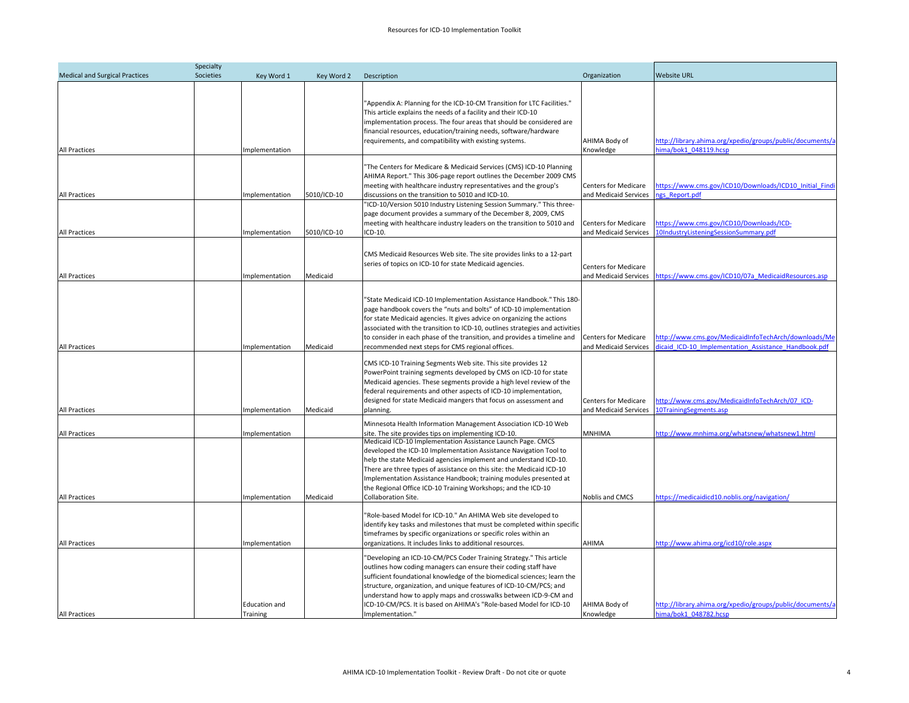| <b>Medical and Surgical Practices</b>        | Societies | Key Word 1                                         | Key Word 2  | Description                                                                                                                                                                                                                                                                                                                                                                                                                                                                                                        | Organization                                         | <b>Website URL</b>                                                                                                        |
|----------------------------------------------|-----------|----------------------------------------------------|-------------|--------------------------------------------------------------------------------------------------------------------------------------------------------------------------------------------------------------------------------------------------------------------------------------------------------------------------------------------------------------------------------------------------------------------------------------------------------------------------------------------------------------------|------------------------------------------------------|---------------------------------------------------------------------------------------------------------------------------|
| All Practices                                |           | Implementation                                     |             | "Appendix A: Planning for the ICD-10-CM Transition for LTC Facilities."<br>This article explains the needs of a facility and their ICD-10<br>implementation process. The four areas that should be considered are<br>financial resources, education/training needs, software/hardware<br>requirements, and compatibility with existing systems.                                                                                                                                                                    | AHIMA Body of<br>Knowledge                           | http://library.ahima.org/xpedio/groups/public/documents/a<br>ima/bok1_048119.hcsp                                         |
|                                              |           |                                                    |             | 'The Centers for Medicare & Medicaid Services (CMS) ICD-10 Planning<br>AHIMA Report." This 306-page report outlines the December 2009 CMS<br>meeting with healthcare industry representatives and the group's                                                                                                                                                                                                                                                                                                      | <b>Centers for Medicare</b>                          | nttps://www.cms.gov/ICD10/Downloads/ICD10 Initial Findi                                                                   |
| All Practices                                |           | Implementation                                     | 5010/ICD-10 | discussions on the transition to 5010 and ICD-10.                                                                                                                                                                                                                                                                                                                                                                                                                                                                  | and Medicaid Services                                | gs Report.pdf                                                                                                             |
| All Practices                                |           | Implementation                                     | 5010/ICD-10 | 'ICD-10/Version 5010 Industry Listening Session Summary." This three-<br>page document provides a summary of the December 8, 2009, CMS<br>meeting with healthcare industry leaders on the transition to 5010 and<br>CD-10.                                                                                                                                                                                                                                                                                         | <b>Centers for Medicare</b><br>and Medicaid Services | https://www.cms.gov/ICD10/Downloads/ICD-<br><b>LOIndustryListeningSessionSummary.pdf</b>                                  |
| All Practices                                |           | Implementation                                     | Medicaid    | CMS Medicaid Resources Web site. The site provides links to a 12-part<br>series of topics on ICD-10 for state Medicaid agencies.                                                                                                                                                                                                                                                                                                                                                                                   | <b>Centers for Medicare</b><br>and Medicaid Services | nttps://www.cms.gov/ICD10/07a MedicaidResources.asp                                                                       |
| All Practices                                |           | Implementation                                     | Medicaid    | 'State Medicaid ICD-10 Implementation Assistance Handbook." This 180-<br>page handbook covers the "nuts and bolts" of ICD-10 implementation<br>for state Medicaid agencies. It gives advice on organizing the actions<br>associated with the transition to ICD-10, outlines strategies and activities<br>to consider in each phase of the transition, and provides a timeline and<br>recommended next steps for CMS regional offices.                                                                              | Centers for Medicare<br>and Medicaid Services        | http://www.cms.gov/MedicaidInfoTechArch/downloads/Me<br>licaid ICD-10 Implementation Assistance Handbook.pdf              |
| All Practices                                |           | Implementation                                     | Medicaid    | CMS ICD-10 Training Segments Web site. This site provides 12<br>PowerPoint training segments developed by CMS on ICD-10 for state<br>Medicaid agencies. These segments provide a high level review of the<br>federal requirements and other aspects of ICD-10 implementation,<br>designed for state Medicaid mangers that focus on assessment and<br>planning.                                                                                                                                                     | <b>Centers for Medicare</b><br>and Medicaid Services | http://www.cms.gov/MedicaidInfoTechArch/07 ICD-<br>OTrainingSegments.asp                                                  |
| All Practices                                |           | Implementation                                     |             | Minnesota Health Information Management Association ICD-10 Web<br>site. The site provides tips on implementing ICD-10.                                                                                                                                                                                                                                                                                                                                                                                             | MNHIMA                                               | http://www.mnhima.org/whatsnew/whatsnew1.html                                                                             |
| All Practices                                |           | Implementation                                     | Medicaid    | Medicaid ICD-10 Implementation Assistance Launch Page. CMCS<br>developed the ICD-10 Implementation Assistance Navigation Tool to<br>help the state Medicaid agencies implement and understand ICD-10.<br>There are three types of assistance on this site: the Medicaid ICD-10<br>Implementation Assistance Handbook; training modules presented at<br>the Regional Office ICD-10 Training Workshops; and the ICD-10<br>Collaboration Site.                                                                        | Noblis and CMCS                                      | https://medicaidicd10.noblis.org/navigation/                                                                              |
|                                              |           |                                                    |             | 'Role-based Model for ICD-10." An AHIMA Web site developed to<br>identify key tasks and milestones that must be completed within specific<br>timeframes by specific organizations or specific roles within an                                                                                                                                                                                                                                                                                                      |                                                      |                                                                                                                           |
| <b>All Practices</b><br><b>All Practices</b> |           | Implementation<br><b>Education and</b><br>Training |             | organizations. It includes links to additional resources.<br>'Developing an ICD-10-CM/PCS Coder Training Strategy." This article<br>outlines how coding managers can ensure their coding staff have<br>sufficient foundational knowledge of the biomedical sciences; learn the<br>structure, organization, and unique features of ICD-10-CM/PCS; and<br>understand how to apply maps and crosswalks between ICD-9-CM and<br>ICD-10-CM/PCS. It is based on AHIMA's "Role-based Model for ICD-10<br>Implementation." | AHIMA<br>AHIMA Body of<br>Knowledge                  | http://www.ahima.org/icd10/role.aspx<br>http://library.ahima.org/xpedio/groups/public/documents/a<br>ima/bok1_048782.hcsp |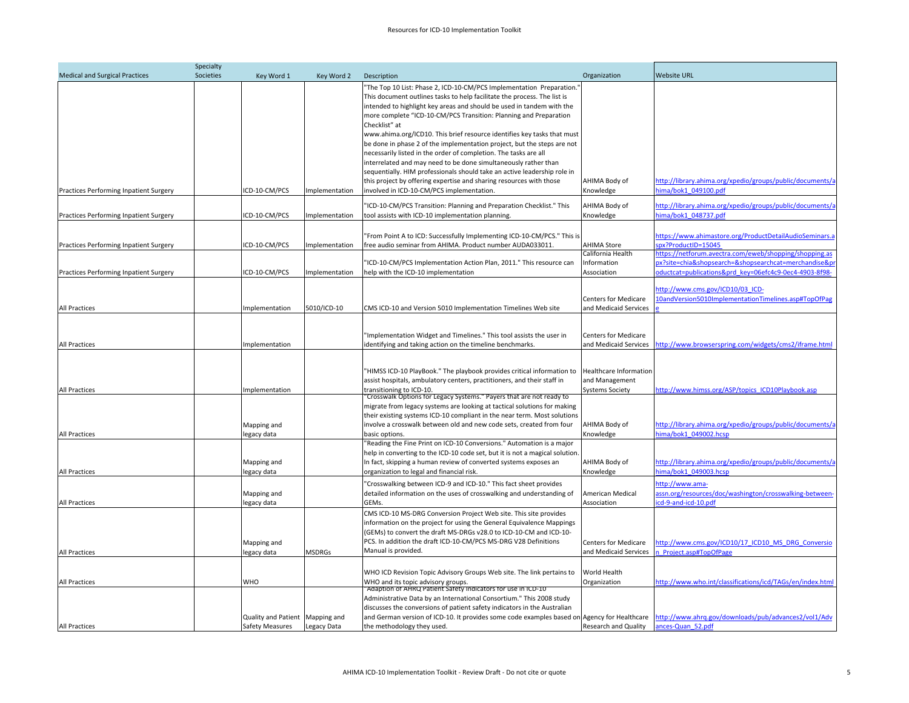|                                        | Specialty |                                                    |                |                                                                                                                                                                                                                                                                                                                                                                                                                                                                                                                                                                                                                                                                                                                                                                                                              |                                                                    |                                                                                                                                                                         |
|----------------------------------------|-----------|----------------------------------------------------|----------------|--------------------------------------------------------------------------------------------------------------------------------------------------------------------------------------------------------------------------------------------------------------------------------------------------------------------------------------------------------------------------------------------------------------------------------------------------------------------------------------------------------------------------------------------------------------------------------------------------------------------------------------------------------------------------------------------------------------------------------------------------------------------------------------------------------------|--------------------------------------------------------------------|-------------------------------------------------------------------------------------------------------------------------------------------------------------------------|
| <b>Medical and Surgical Practices</b>  | Societies | Key Word 1                                         | Key Word 2     | Description                                                                                                                                                                                                                                                                                                                                                                                                                                                                                                                                                                                                                                                                                                                                                                                                  | Organization                                                       | <b>Website URL</b>                                                                                                                                                      |
| Practices Performing Inpatient Surgery |           | CD-10-CM/PCS                                       | mplementation  | 'The Top 10 List: Phase 2, ICD-10-CM/PCS Implementation Preparation.<br>This document outlines tasks to help facilitate the process. The list is<br>intended to highlight key areas and should be used in tandem with the<br>more complete "ICD-10-CM/PCS Transition: Planning and Preparation<br>Checklist" at<br>www.ahima.org/ICD10. This brief resource identifies key tasks that must<br>be done in phase 2 of the implementation project, but the steps are not<br>necessarily listed in the order of completion. The tasks are all<br>interrelated and may need to be done simultaneously rather than<br>sequentially. HIM professionals should take an active leadership role in<br>this project by offering expertise and sharing resources with those<br>involved in ICD-10-CM/PCS implementation. | AHIMA Body of<br>Knowledge                                         | http://library.ahima.org/xpedio/groups/public/documents/a<br>hima/bok1_049100.pdf                                                                                       |
| Practices Performing Inpatient Surgery |           | ICD-10-CM/PCS                                      | mplementation  | 'ICD-10-CM/PCS Transition: Planning and Preparation Checklist." This<br>tool assists with ICD-10 implementation planning.                                                                                                                                                                                                                                                                                                                                                                                                                                                                                                                                                                                                                                                                                    | AHIMA Body of<br>Knowledge                                         | http://library.ahima.org/xpedio/groups/public/documents/a<br>hima/bok1_048737.pdf                                                                                       |
|                                        |           |                                                    |                |                                                                                                                                                                                                                                                                                                                                                                                                                                                                                                                                                                                                                                                                                                                                                                                                              |                                                                    |                                                                                                                                                                         |
| Practices Performing Inpatient Surgery |           | ICD-10-CM/PCS                                      | mplementation  | "From Point A to ICD: Successfully Implementing ICD-10-CM/PCS." This is<br>ree audio seminar from AHIMA. Product number AUDA033011.                                                                                                                                                                                                                                                                                                                                                                                                                                                                                                                                                                                                                                                                          | <b>AHIMA Store</b>                                                 | https://www.ahimastore.org/ProductDetailAudioSeminars.a<br>px?ProductID=15045                                                                                           |
| Practices Performing Inpatient Surgery |           | ICD-10-CM/PCS                                      | Implementation | 'ICD-10-CM/PCS Implementation Action Plan, 2011." This resource can<br>help with the ICD-10 implementation                                                                                                                                                                                                                                                                                                                                                                                                                                                                                                                                                                                                                                                                                                   | California Health<br>Information<br>Association                    | https://netforum.avectra.com/eweb/shopping/shopping.as<br>px?site=chia&shopsearch=&shopsearchcat=merchandise&p<br>ductcat=publications&prd key=06efc4c9-0ec4-4903-8f98- |
| All Practices                          |           | Implementation                                     | 5010/ICD-10    | CMS ICD-10 and Version 5010 Implementation Timelines Web site                                                                                                                                                                                                                                                                                                                                                                                                                                                                                                                                                                                                                                                                                                                                                | <b>Centers for Medicare</b><br>and Medicaid Services               | http://www.cms.gov/ICD10/03 ICD-<br>10andVersion5010ImplementationTimelines.asp#TopOfPag                                                                                |
| All Practices                          |           | Implementation                                     |                | 'Implementation Widget and Timelines." This tool assists the user in<br>identifying and taking action on the timeline benchmarks.                                                                                                                                                                                                                                                                                                                                                                                                                                                                                                                                                                                                                                                                            | <b>Centers for Medicare</b>                                        | and Medicaid Services http://www.browserspring.com/widgets/cms2/iframe.html                                                                                             |
| All Practices                          |           | Implementation                                     |                | "HIMSS ICD-10 PlayBook." The playbook provides critical information to<br>assist hospitals, ambulatory centers, practitioners, and their staff in<br>ransitioning to ICD-10.<br>'Crosswalk Options for Legacy Systems." Payers that are not ready to                                                                                                                                                                                                                                                                                                                                                                                                                                                                                                                                                         | Healthcare Information<br>and Management<br><b>Systems Society</b> | http://www.himss.org/ASP/topics ICD10Playbook.asp                                                                                                                       |
| <b>All Practices</b>                   |           | Mapping and<br>legacy data                         |                | migrate from legacy systems are looking at tactical solutions for making<br>their existing systems ICD-10 compliant in the near term. Most solutions<br>involve a crosswalk between old and new code sets, created from four<br>basic options.                                                                                                                                                                                                                                                                                                                                                                                                                                                                                                                                                               | AHIMA Body of<br>Knowledge                                         | http://library.ahima.org/xpedio/groups/public/documents/a<br>hima/bok1_049002.hcsp                                                                                      |
| All Practices                          |           | Mapping and<br>legacy data                         |                | Reading the Fine Print on ICD-10 Conversions." Automation is a major<br>help in converting to the ICD-10 code set, but it is not a magical solution.<br>In fact, skipping a human review of converted systems exposes an<br>organization to legal and financial risk.                                                                                                                                                                                                                                                                                                                                                                                                                                                                                                                                        | AHIMA Body of<br>Knowledge                                         | http://library.ahima.org/xpedio/groups/public/documents/a<br>hima/bok1 049003.hcsp                                                                                      |
| <b>All Practices</b>                   |           | Mapping and<br>legacy data                         |                | Crosswalking between ICD-9 and ICD-10." This fact sheet provides<br>detailed information on the uses of crosswalking and understanding of<br>GEMs.                                                                                                                                                                                                                                                                                                                                                                                                                                                                                                                                                                                                                                                           | American Medical<br>Association                                    | http://www.ama-<br>assn.org/resources/doc/washington/crosswalking-between-<br>cd-9-and-icd-10.pdf                                                                       |
| <b>All Practices</b>                   |           | Mapping and<br>legacy data                         | <b>MSDRGs</b>  | CMS ICD-10 MS-DRG Conversion Project Web site. This site provides<br>information on the project for using the General Equivalence Mappings<br>(GEMs) to convert the draft MS-DRGs v28.0 to ICD-10-CM and ICD-10-<br>PCS. In addition the draft ICD-10-CM/PCS MS-DRG V28 Definitions<br>Manual is provided.                                                                                                                                                                                                                                                                                                                                                                                                                                                                                                   | <b>Centers for Medicare</b><br>and Medicaid Services               | http://www.cms.gov/ICD10/17 ICD10 MS DRG Conversio<br>n Project.asp#TopOfPage                                                                                           |
| All Practices                          |           | <b>WHO</b>                                         |                | WHO ICD Revision Topic Advisory Groups Web site. The link pertains to<br>WHO and its topic advisory groups.<br>"Adaption of AHRQ Patient Safety Indicators for use in ICD-10                                                                                                                                                                                                                                                                                                                                                                                                                                                                                                                                                                                                                                 | World Health<br>Organization                                       | http://www.who.int/classifications/icd/TAGs/en/index.html                                                                                                               |
| <b>All Practices</b>                   |           | Quality and Patient Mapping and<br>Safety Measures | Legacy Data    | Administrative Data by an International Consortium." This 2008 study<br>discusses the conversions of patient safety indicators in the Australian<br>and German version of ICD-10. It provides some code examples based on Agency for Healthcare http://www.ahrq.gov/downloads/pub/advances2/vol1/Adv<br>the methodology they used.                                                                                                                                                                                                                                                                                                                                                                                                                                                                           | <b>Research and Quality</b>                                        | ances-Quan 52.pdf                                                                                                                                                       |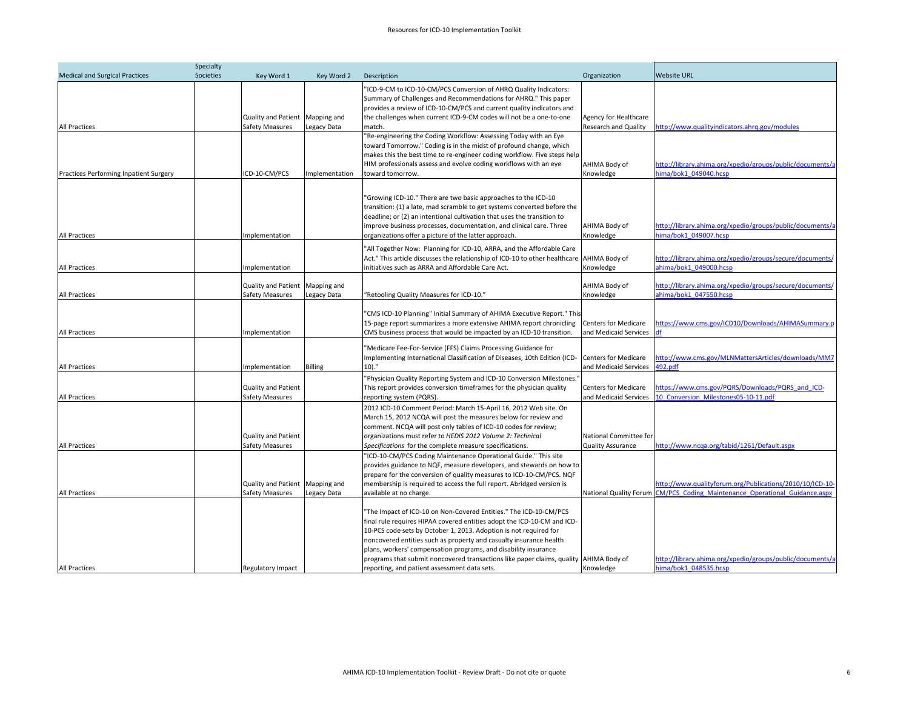|                                        | Specialty |                                                           |                |                                                                                                                                                                                                                                                                                                                                                                                                                                                                                                     |                                                      |                                                                                                                                        |
|----------------------------------------|-----------|-----------------------------------------------------------|----------------|-----------------------------------------------------------------------------------------------------------------------------------------------------------------------------------------------------------------------------------------------------------------------------------------------------------------------------------------------------------------------------------------------------------------------------------------------------------------------------------------------------|------------------------------------------------------|----------------------------------------------------------------------------------------------------------------------------------------|
| <b>Medical and Surgical Practices</b>  | Societies | Key Word 1                                                | Key Word 2     | Description                                                                                                                                                                                                                                                                                                                                                                                                                                                                                         | Organization                                         | <b>Website URL</b>                                                                                                                     |
| All Practices                          |           | Quality and Patient Mapping and<br>Safety Measures        | Legacy Data    | "ICD-9-CM to ICD-10-CM/PCS Conversion of AHRQ Quality Indicators:<br>Summary of Challenges and Recommendations for AHRQ." This paper<br>provides a review of ICD-10-CM/PCS and current quality indicators and<br>the challenges when current ICD-9-CM codes will not be a one-to-one<br>match.                                                                                                                                                                                                      | Agency for Healthcare<br><b>Research and Quality</b> | http://www.qualityindicators.ahrq.gov/modules                                                                                          |
|                                        |           |                                                           |                | "Re-engineering the Coding Workflow: Assessing Today with an Eye<br>toward Tomorrow." Coding is in the midst of profound change, which<br>makes this the best time to re-engineer coding workflow. Five steps help<br>HIM professionals assess and evolve coding workflows with an eye                                                                                                                                                                                                              | AHIMA Body of                                        | http://library.ahima.org/xpedio/groups/public/documents/a                                                                              |
| Practices Performing Inpatient Surgery |           | ICD-10-CM/PCS                                             | Implementation | toward tomorrow.                                                                                                                                                                                                                                                                                                                                                                                                                                                                                    | Knowledge                                            | ima/bok1_049040.hcsp                                                                                                                   |
| All Practices                          |           | mplementation                                             |                | "Growing ICD-10." There are two basic approaches to the ICD-10<br>transition: (1) a late, mad scramble to get systems converted before the<br>deadline; or (2) an intentional cultivation that uses the transition to<br>improve business processes, documentation, and clinical care. Three<br>organizations offer a picture of the latter approach.                                                                                                                                               | AHIMA Body of<br>Knowledge                           | http://library.ahima.org/xpedio/groups/public/documents/a<br>ima/bok1_049007.hcsp                                                      |
| All Practices                          |           | mplementation                                             |                | "All Together Now: Planning for ICD-10, ARRA, and the Affordable Care<br>Act." This article discusses the relationship of ICD-10 to other healthcare<br>initiatives such as ARRA and Affordable Care Act.                                                                                                                                                                                                                                                                                           | AHIMA Body of<br>Knowledge                           | http://library.ahima.org/xpedio/groups/secure/documents/<br>ahima/bok1_049000.hcsp                                                     |
| All Practices                          |           | Quality and Patient Mapping and<br><b>Safety Measures</b> | Legacy Data    | "Retooling Quality Measures for ICD-10."                                                                                                                                                                                                                                                                                                                                                                                                                                                            | AHIMA Body of<br>Knowledge                           | http://library.ahima.org/xpedio/groups/secure/documents/<br>ahima/bok1 047550.hcsp                                                     |
| All Practices                          |           | Implementation                                            |                | "CMS ICD-10 Planning" Initial Summary of AHIMA Executive Report." This<br>15-page report summarizes a more extensive AHIMA report chronicling<br>CMS business process that would be impacted by an ICD-10 transition.                                                                                                                                                                                                                                                                               | <b>Centers for Medicare</b><br>and Medicaid Services | https://www.cms.gov/ICD10/Downloads/AHIMASummary.p<br>ł۴                                                                               |
| All Practices                          |           | Implementation                                            | <b>Billing</b> | "Medicare Fee-For-Service (FFS) Claims Processing Guidance for<br>Implementing International Classification of Diseases, 10th Edition (ICD-<br>$10$ ."                                                                                                                                                                                                                                                                                                                                              | <b>Centers for Medicare</b><br>and Medicaid Services | http://www.cms.gov/MLNMattersArticles/downloads/MM7<br>192.pdf                                                                         |
| <b>All Practices</b>                   |           | <b>Quality and Patient</b><br>Safety Measures             |                | "Physician Quality Reporting System and ICD-10 Conversion Milestones.<br>This report provides conversion timeframes for the physician quality<br>reporting system (PQRS).                                                                                                                                                                                                                                                                                                                           | <b>Centers for Medicare</b><br>and Medicaid Services | https://www.cms.gov/PQRS/Downloads/PQRS and ICD-<br>10 Conversion Milestones05-10-11.pdf                                               |
| <b>All Practices</b>                   |           | <b>Quality and Patient</b><br><b>Safety Measures</b>      |                | 2012 ICD-10 Comment Period: March 15-April 16, 2012 Web site. On<br>March 15, 2012 NCQA will post the measures below for review and<br>comment. NCQA will post only tables of ICD-10 codes for review;<br>organizations must refer to HEDIS 2012 Volume 2: Technical<br>Specifications for the complete measure specifications.                                                                                                                                                                     | National Committee for<br><b>Quality Assurance</b>   | http://www.ncqa.org/tabid/1261/Default.aspx                                                                                            |
| <b>All Practices</b>                   |           | Quality and Patient Mapping and<br><b>Safety Measures</b> | Legacy Data    | "ICD-10-CM/PCS Coding Maintenance Operational Guide." This site<br>provides guidance to NQF, measure developers, and stewards on how to<br>prepare for the conversion of quality measures to ICD-10-CM/PCS. NQF<br>membership is required to access the full report. Abridged version is<br>available at no charge.                                                                                                                                                                                 |                                                      | http://www.qualityforum.org/Publications/2010/10/ICD-10-<br>National Quality Forum CM/PCS Coding Maintenance Operational Guidance.aspx |
| <b>All Practices</b>                   |           | <b>Regulatory Impact</b>                                  |                | "The Impact of ICD-10 on Non-Covered Entities." The ICD-10-CM/PCS<br>final rule requires HIPAA covered entities adopt the ICD-10-CM and ICD-<br>10-PCS code sets by October 1, 2013. Adoption is not required for<br>noncovered entities such as property and casualty insurance health<br>plans, workers' compensation programs, and disability insurance<br>programs that submit noncovered transactions like paper claims, quality AHIMA Body of<br>reporting, and patient assessment data sets. | Knowledge                                            | http://library.ahima.org/xpedio/groups/public/documents/a<br>hima/bok1_048535.hcsp                                                     |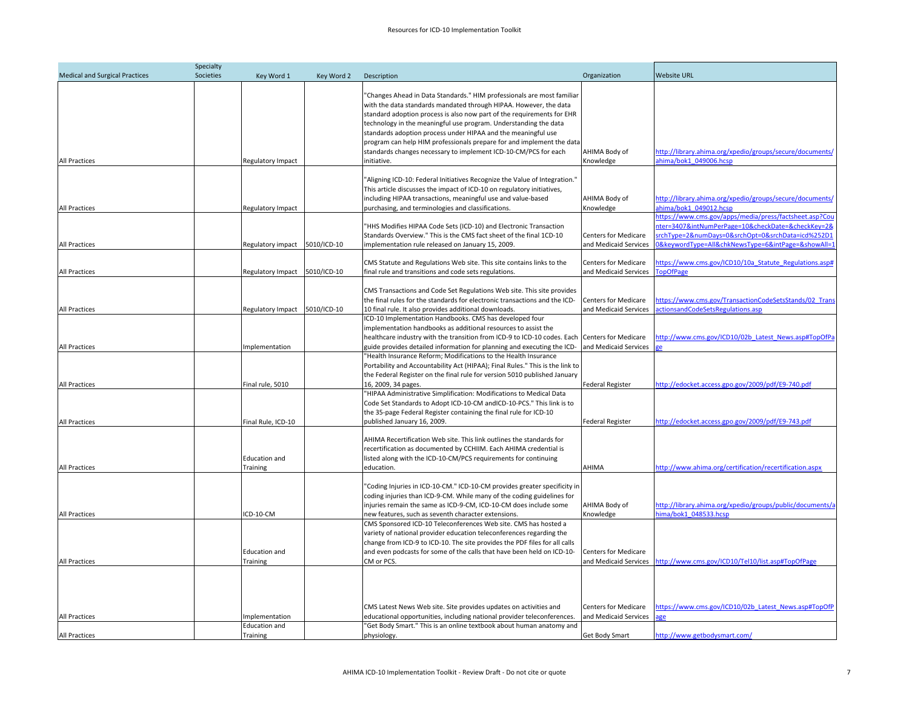| Specialty                             |                                                   |             |                                                                                                                                                                                                                                                                                                                                                                                                                                     |                                                      |                                                                                                                                                                                                                     |  |
|---------------------------------------|---------------------------------------------------|-------------|-------------------------------------------------------------------------------------------------------------------------------------------------------------------------------------------------------------------------------------------------------------------------------------------------------------------------------------------------------------------------------------------------------------------------------------|------------------------------------------------------|---------------------------------------------------------------------------------------------------------------------------------------------------------------------------------------------------------------------|--|
| <b>Medical and Surgical Practices</b> | Societies<br>Key Word 1                           | Key Word 2  | Description                                                                                                                                                                                                                                                                                                                                                                                                                         | Organization                                         | <b>Website URL</b>                                                                                                                                                                                                  |  |
|                                       |                                                   |             | "Changes Ahead in Data Standards." HIM professionals are most familiar<br>with the data standards mandated through HIPAA. However, the data<br>standard adoption process is also now part of the requirements for EHR<br>technology in the meaningful use program. Understanding the data<br>standards adoption process under HIPAA and the meaningful use<br>program can help HIM professionals prepare for and implement the data |                                                      |                                                                                                                                                                                                                     |  |
| All Practices                         | Regulatory Impact                                 |             | standards changes necessary to implement ICD-10-CM/PCS for each<br>initiative.                                                                                                                                                                                                                                                                                                                                                      | AHIMA Body of<br>Knowledge                           | http://library.ahima.org/xpedio/groups/secure/documents/<br>ahima/bok1_049006.hcsp                                                                                                                                  |  |
| All Practices                         | Regulatory Impact                                 |             | "Aligning ICD-10: Federal Initiatives Recognize the Value of Integration."<br>This article discusses the impact of ICD-10 on regulatory initiatives,<br>including HIPAA transactions, meaningful use and value-based<br>purchasing, and terminologies and classifications.                                                                                                                                                          | AHIMA Body of<br>Knowledge                           | http://library.ahima.org/xpedio/groups/secure/documents/<br>ahima/bok1 049012.hcsp                                                                                                                                  |  |
| All Practices                         | Regulatory impact                                 | 5010/ICD-10 | "HHS Modifies HIPAA Code Sets (ICD-10) and Electronic Transaction<br>Standards Overview." This is the CMS fact sheet of the final 1CD-10<br>implementation rule released on January 15, 2009.                                                                                                                                                                                                                                       | <b>Centers for Medicare</b><br>and Medicaid Services | https://www.cms.gov/apps/media/press/factsheet.asp?Cou<br>hter=3407&intNumPerPage=10&checkDate=&checkKey=2&<br>rchType=2&numDays=0&srchOpt=0&srchData=icd%252D1<br>&keywordType=All&chkNewsType=6&intPage=&showAll= |  |
|                                       |                                                   |             | CMS Statute and Regulations Web site. This site contains links to the                                                                                                                                                                                                                                                                                                                                                               | <b>Centers for Medicare</b>                          | https://www.cms.gov/ICD10/10a Statute Regulations.asp#                                                                                                                                                              |  |
| <b>All Practices</b>                  | Regulatory Impact                                 | 5010/ICD-10 | final rule and transitions and code sets regulations.<br>CMS Transactions and Code Set Regulations Web site. This site provides<br>the final rules for the standards for electronic transactions and the ICD-                                                                                                                                                                                                                       | and Medicaid Services<br><b>Centers for Medicare</b> | opOfPage<br>https://www.cms.gov/TransactionCodeSetsStands/02 Trans                                                                                                                                                  |  |
| All Practices                         | <b>Regulatory Impact</b>                          | 5010/ICD-10 | 10 final rule. It also provides additional downloads.<br>ICD-10 Implementation Handbooks. CMS has developed four<br>implementation handbooks as additional resources to assist the<br>healthcare industry with the transition from ICD-9 to ICD-10 codes. Each Centers for Medicare                                                                                                                                                 | and Medicaid Services                                | ctionsandCodeSetsRegulations.asp<br>http://www.cms.gov/ICD10/02b Latest News.asp#TopOfPa                                                                                                                            |  |
| All Practices<br>All Practices        | Implementation<br>Final rule, 5010                |             | guide provides detailed information for planning and executing the ICD-<br>"Health Insurance Reform; Modifications to the Health Insurance<br>Portability and Accountability Act (HIPAA); Final Rules." This is the link to<br>the Federal Register on the final rule for version 5010 published January<br>16, 2009, 34 pages.                                                                                                     | and Medicaid Services<br>Federal Register            | e<br>http://edocket.access.gpo.gov/2009/pdf/E9-740.pdf                                                                                                                                                              |  |
| All Practices                         | Final Rule, ICD-10                                |             | "HIPAA Administrative Simplification: Modifications to Medical Data<br>Code Set Standards to Adopt ICD-10-CM andICD-10-PCS." This link is to<br>the 35-page Federal Register containing the final rule for ICD-10<br>published January 16, 2009.                                                                                                                                                                                    | <b>Federal Register</b>                              | http://edocket.access.gpo.gov/2009/pdf/E9-743.pdf                                                                                                                                                                   |  |
| <b>All Practices</b>                  | <b>Education and</b><br><b>Training</b>           |             | AHIMA Recertification Web site. This link outlines the standards for<br>recertification as documented by CCHIIM. Each AHIMA credential is<br>listed along with the ICD-10-CM/PCS requirements for continuing<br>education.                                                                                                                                                                                                          | AHIMA                                                | http://www.ahima.org/certification/recertification.aspx                                                                                                                                                             |  |
|                                       |                                                   |             | "Coding Injuries in ICD-10-CM." ICD-10-CM provides greater specificity in<br>coding injuries than ICD-9-CM. While many of the coding guidelines for<br>injuries remain the same as ICD-9-CM, ICD-10-CM does include some                                                                                                                                                                                                            | AHIMA Body of                                        | http://library.ahima.org/xpedio/groups/public/documents/a                                                                                                                                                           |  |
| All Practices                         | CD-10-CM<br><b>Education and</b>                  |             | new features, such as seventh character extensions.<br>CMS Sponsored ICD-10 Teleconferences Web site. CMS has hosted a<br>variety of national provider education teleconferences regarding the<br>change from ICD-9 to ICD-10. The site provides the PDF files for all calls<br>and even podcasts for some of the calls that have been held on ICD-10-                                                                              | Knowledge<br><b>Centers for Medicare</b>             | ima/bok1 048533.hcsp                                                                                                                                                                                                |  |
| All Practices                         | Training                                          |             | CM or PCS.<br>CMS Latest News Web site. Site provides updates on activities and                                                                                                                                                                                                                                                                                                                                                     | and Medicaid Services<br><b>Centers for Medicare</b> | http://www.cms.gov/ICD10/Tel10/list.asp#TopOfPage<br>https://www.cms.gov/ICD10/02b Latest News.asp#TopOfP                                                                                                           |  |
| All Practices<br><b>All Practices</b> | mplementation<br><b>Education and</b><br>Training |             | educational opportunities, including national provider teleconferences.<br>"Get Body Smart." This is an online textbook about human anatomy and<br>physiology.                                                                                                                                                                                                                                                                      | and Medicaid Services<br>Get Body Smart              | http://www.getbodysmart.com/                                                                                                                                                                                        |  |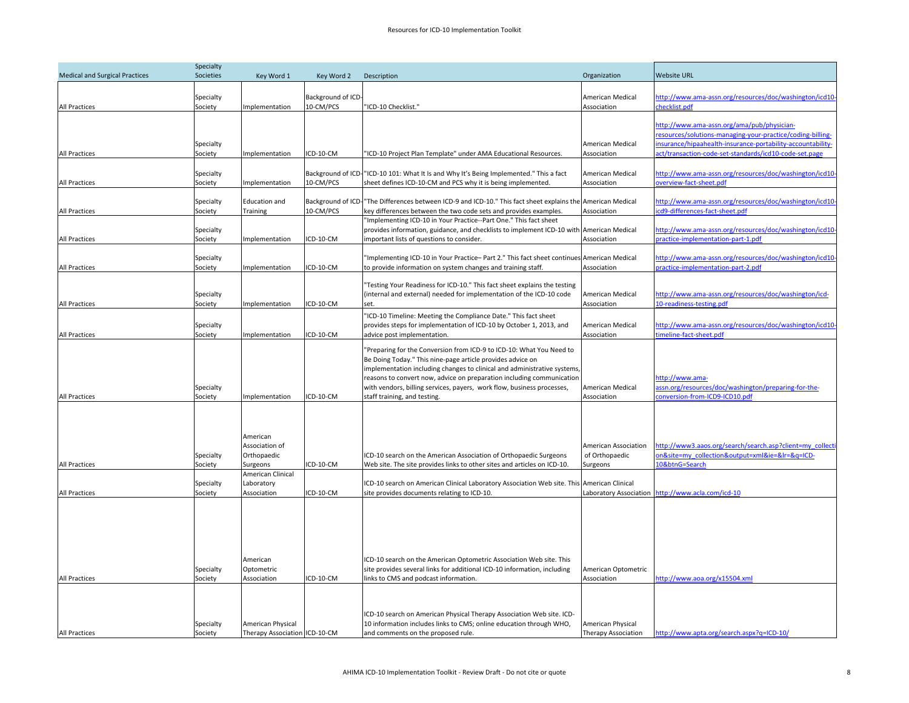| Specialty                             |                                   |                                                                                          |                                 |                                                                                                                                                                                                                                                                                                                                                                                                  |                                                                         |                                                                                                                                                                                                                                  |  |
|---------------------------------------|-----------------------------------|------------------------------------------------------------------------------------------|---------------------------------|--------------------------------------------------------------------------------------------------------------------------------------------------------------------------------------------------------------------------------------------------------------------------------------------------------------------------------------------------------------------------------------------------|-------------------------------------------------------------------------|----------------------------------------------------------------------------------------------------------------------------------------------------------------------------------------------------------------------------------|--|
| <b>Medical and Surgical Practices</b> | Societies                         | Key Word 1                                                                               | Key Word 2                      | Description                                                                                                                                                                                                                                                                                                                                                                                      | Organization                                                            | <b>Website URL</b>                                                                                                                                                                                                               |  |
| <b>All Practices</b>                  | Specialty<br>Society              | Implementation                                                                           | Background of ICD-<br>10-CM/PCS | "ICD-10 Checklist."                                                                                                                                                                                                                                                                                                                                                                              | American Medical<br>Association                                         | http://www.ama-assn.org/resources/doc/washington/icd10-<br>hecklist.pdf                                                                                                                                                          |  |
| All Practices                         | Specialty<br>Society              | Implementation                                                                           | ICD-10-CM                       | 'ICD-10 Project Plan Template" under AMA Educational Resources.                                                                                                                                                                                                                                                                                                                                  | American Medical<br>Association                                         | http://www.ama-assn.org/ama/pub/physician-<br>resources/solutions-managing-your-practice/coding-billing-<br>nsurance/hipaahealth-insurance-portability-accountability-<br>act/transaction-code-set-standards/icd10-code-set.page |  |
| All Practices                         | Specialty<br>Society              | Implementation                                                                           | 10-CM/PCS                       | Background of ICD-"ICD-10 101: What It Is and Why It's Being Implemented." This a fact<br>sheet defines ICD-10-CM and PCS why it is being implemented.                                                                                                                                                                                                                                           | American Medical<br>Association                                         | http://www.ama-assn.org/resources/doc/washington/icd10-<br>overview-fact-sheet.pdf                                                                                                                                               |  |
| <b>All Practices</b>                  | Specialty<br>Society              | <b>Education and</b><br>Training                                                         | 10-CM/PCS                       | Background of ICD- <sup>1</sup> The Differences between ICD-9 and ICD-10." This fact sheet explains the American Medical<br>key differences between the two code sets and provides examples.                                                                                                                                                                                                     | Association                                                             | http://www.ama-assn.org/resources/doc/washington/icd10-<br>cd9-differences-fact-sheet.pdf                                                                                                                                        |  |
| All Practices                         | Specialty<br>Society              | Implementation                                                                           | ICD-10-CM                       | 'Implementing ICD-10 in Your Practice--Part One." This fact sheet<br>provides information, guidance, and checklists to implement ICD-10 with<br>important lists of questions to consider.                                                                                                                                                                                                        | American Medical<br>Association                                         | http://www.ama-assn.org/resources/doc/washington/icd10-<br>practice-implementation-part-1.pdf                                                                                                                                    |  |
| All Practices                         | Specialty<br>Society              | Implementation                                                                           | ICD-10-CM                       | "Implementing ICD-10 in Your Practice- Part 2." This fact sheet continues American Medical<br>to provide information on system changes and training staff.                                                                                                                                                                                                                                       | Association                                                             | http://www.ama-assn.org/resources/doc/washington/icd10-<br>practice-implementation-part-2.pdf                                                                                                                                    |  |
| All Practices                         | Specialty<br>Society              | Implementation                                                                           | CD-10-CM                        | 'Testing Your Readiness for ICD-10." This fact sheet explains the testing<br>(internal and external) needed for implementation of the ICD-10 code<br>set.                                                                                                                                                                                                                                        | American Medical<br>Association                                         | http://www.ama-assn.org/resources/doc/washington/icd-<br>10-readiness-testing.pdf                                                                                                                                                |  |
| <b>All Practices</b>                  | Specialty<br>Society              | Implementation                                                                           | ICD-10-CM                       | 'ICD-10 Timeline: Meeting the Compliance Date." This fact sheet<br>provides steps for implementation of ICD-10 by October 1, 2013, and<br>advice post implementation.                                                                                                                                                                                                                            | American Medical<br>Association                                         | http://www.ama-assn.org/resources/doc/washington/icd10-<br>timeline-fact-sheet.pdf                                                                                                                                               |  |
| <b>All Practices</b>                  | Specialty<br>Society              | Implementation                                                                           | ICD-10-CM                       | 'Preparing for the Conversion from ICD-9 to ICD-10: What You Need to<br>Be Doing Today." This nine-page article provides advice on<br>implementation including changes to clinical and administrative systems<br>reasons to convert now, advice on preparation including communication<br>with vendors, billing services, payers, work flow, business processes,<br>staff training, and testing. | American Medical<br>Association                                         | http://www.ama-<br>assn.org/resources/doc/washington/preparing-for-the-<br>conversion-from-ICD9-ICD10.pdf                                                                                                                        |  |
| All Practices                         | Specialty<br>Society<br>Specialty | American<br>Association of<br>Orthopaedic<br>Surgeons<br>American Clinical<br>Laboratory | ICD-10-CM                       | ICD-10 search on the American Association of Orthopaedic Surgeons<br>Web site. The site provides links to other sites and articles on ICD-10.<br>CD-10 search on American Clinical Laboratory Association Web site. This                                                                                                                                                                         | American Association<br>of Orthopaedic<br>Surgeons<br>American Clinical | http://www3.aaos.org/search/search.asp?client=my collecti<br>on&site=my_collection&output=xml&ie=&lr=&q=ICD-<br>10&btnG=Search                                                                                                   |  |
| <b>All Practices</b>                  | Society                           | Association                                                                              | ICD-10-CM                       | site provides documents relating to ICD-10.                                                                                                                                                                                                                                                                                                                                                      |                                                                         | Laboratory Association http://www.acla.com/icd-10                                                                                                                                                                                |  |
| <b>All Practices</b>                  | Specialty<br>Society              | American<br>Optometric<br>Association                                                    | ICD-10-CM                       | ICD-10 search on the American Optometric Association Web site. This<br>site provides several links for additional ICD-10 information, including<br>links to CMS and podcast information.                                                                                                                                                                                                         | American Optometric<br>Association                                      | http://www.aoa.org/x15504.xml                                                                                                                                                                                                    |  |
| <b>All Practices</b>                  | Specialty<br>Society              | American Physical<br>Therapy Association ICD-10-CM                                       |                                 | CD-10 search on American Physical Therapy Association Web site. ICD-<br>10 information includes links to CMS; online education through WHO,<br>and comments on the proposed rule.                                                                                                                                                                                                                | <b>American Physical</b><br><b>Therapy Association</b>                  | http://www.apta.org/search.aspx?q=ICD-10/                                                                                                                                                                                        |  |